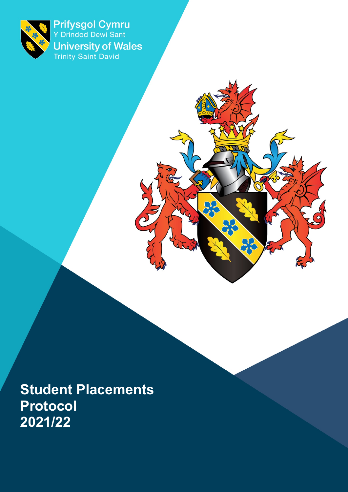

Prifysgol Cymru<br>Y Drindod Dewi Sant **University of Wales**<br>Trinity Saint David

 $\mathcal{O}$ 

 $\frac{1}{\sqrt{2}}$ 

**Student Placements Protocol 2021/22**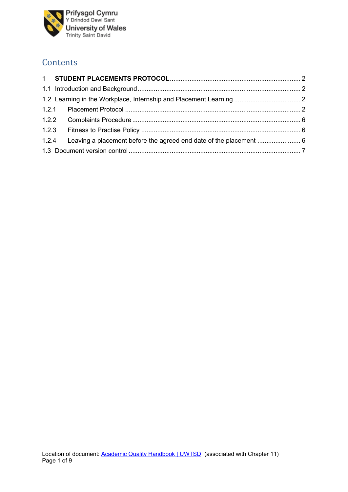

## **Contents**

|  |  | 1.2.4 Leaving a placement before the agreed end date of the placement  6 |  |  |  |  |
|--|--|--------------------------------------------------------------------------|--|--|--|--|
|  |  |                                                                          |  |  |  |  |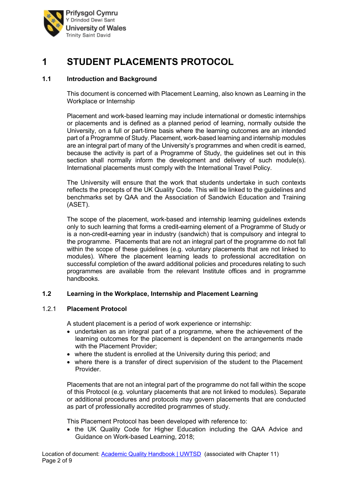

# <span id="page-2-0"></span>**1 STUDENT PLACEMENTS PROTOCOL**

## <span id="page-2-1"></span>**1.1 Introduction and Background**

This document is concerned with Placement Learning, also known as Learning in the Workplace or Internship

Placement and work-based learning may include international or domestic internships or placements and is defined as a planned period of learning, normally outside the University, on a full or part-time basis where the learning outcomes are an intended part of a Programme of Study. Placement, work-based learning and internship modules are an integral part of many of the University's programmes and when credit is earned, because the activity is part of a Programme of Study, the guidelines set out in this section shall normally inform the development and delivery of such module(s). International placements must comply with the International Travel Policy.

The University will ensure that the work that students undertake in such contexts reflects the precepts of the UK Quality Code. This will be linked to the guidelines and benchmarks set by QAA and the Association of Sandwich Education and Training (ASET).

The scope of the placement, work-based and internship learning guidelines extends only to such learning that forms a credit-earning element of a Programme of Study or is a non-credit-earning year in industry (sandwich) that is compulsory and integral to the programme. Placements that are not an integral part of the programme do not fall within the scope of these quidelines (e.g. voluntary placements that are not linked to modules). Where the placement learning leads to professional accreditation on successful completion of the award additional policies and procedures relating to such programmes are available from the relevant Institute offices and in programme handbooks.

#### <span id="page-2-2"></span>**1.2 Learning in the Workplace, Internship and Placement Learning**

#### <span id="page-2-3"></span>1.2.1 **Placement Protocol**

A student placement is a period of work experience or internship:

- undertaken as an integral part of a programme, where the achievement of the learning outcomes for the placement is dependent on the arrangements made with the Placement Provider;
- where the student is enrolled at the University during this period; and
- where there is a transfer of direct supervision of the student to the Placement Provider.

Placements that are not an integral part of the programme do not fall within the scope of this Protocol (e.g. voluntary placements that are not linked to modules). Separate or additional procedures and protocols may govern placements that are conducted as part of professionally accredited programmes of study.

This Placement Protocol has been developed with reference to:

• the UK Quality Code for Higher Education including the QAA Advice and Guidance on Work-based Learning, 2018;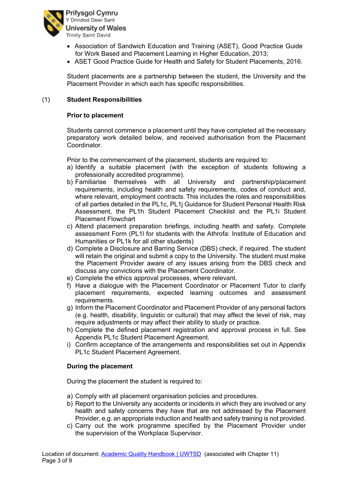

- Association of Sandwich Education and Training (ASET), Good Practice Guide for Work Based and Placement Learning in Higher Education, 2013;
- ASET Good Practice Guide for Health and Safety for Student Placements, 2016.

Student placements are a partnership between the student, the University and the Placement Provider in which each has specific responsibilities.

#### (1) **Student Responsibilities**

#### **Prior to placement**

Students cannot commence a placement until they have completed all the necessary preparatory work detailed below, and received authorisation from the Placement Coordinator.

Prior to the commencement of the placement, students are required to:

- a) Identify a suitable placement (with the exception of students following a professionally accredited programme).
- b) Familiarise themselves with all University and partnership/placement requirements, including health and safety requirements, codes of conduct and, where relevant, employment contracts. This includes the roles and responsibilities of all parties detailed in the PL1c, PL1j Guidance for Student Personal Health Risk Assessment, the PL1h Student Placement Checklist and the PL1i Student Placement Flowchart
- c) Attend placement preparation briefings, including health and safety. Complete assessment Form (PL1l for students with the Athrofa: Institute of Education and Humanities or PL1k for all other students)
- d) Complete a Disclosure and Barring Service (DBS) check, if required. The student will retain the original and submit a copy to the University. The student must make the Placement Provider aware of any issues arising from the DBS check and discuss any convictions with the Placement Coordinator.
- e) Complete the ethics approval processes, where relevant.
- f) Have a dialogue with the Placement Coordinator or Placement Tutor to clarify placement requirements, expected learning outcomes and assessment requirements.
- g) Inform the Placement Coordinator and Placement Provider of any personal factors (e.g. health, disability, linguistic or cultural) that may affect the level of risk, may require adjustments or may affect their ability to study or practice.
- h) Complete the defined placement registration and approval process in full. See Appendix PL1c Student Placement Agreement.
- i) Confirm acceptance of the arrangements and responsibilities set out in Appendix PL1c Student Placement Agreement.

#### **During the placement**

During the placement the student is required to:

- a) Comply with all placement organisation policies and procedures.
- b) Report to the University any accidents or incidents in which they are involved or any health and safety concerns they have that are not addressed by the Placement Provider, e.g. an appropriate induction and health and safety training is not provided.
- c) Carry out the work programme specified by the Placement Provider under the supervision of the Workplace Supervisor.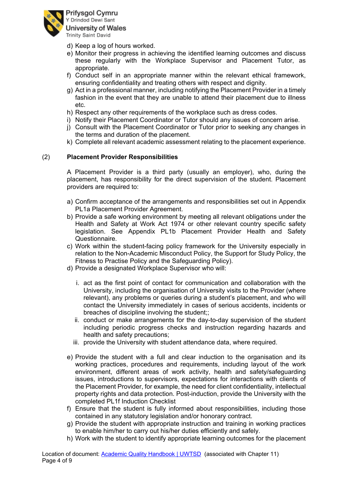

- d) Keep a log of hours worked.
- e) Monitor their progress in achieving the identified learning outcomes and discuss these regularly with the Workplace Supervisor and Placement Tutor, as appropriate.
- f) Conduct self in an appropriate manner within the relevant ethical framework, ensuring confidentiality and treating others with respect and dignity.
- g) Act in a professional manner, including notifying the Placement Provider in a timely fashion in the event that they are unable to attend their placement due to illness etc.
- h) Respect any other requirements of the workplace such as dress codes.
- i) Notify their Placement Coordinator or Tutor should any issues of concern arise.
- j) Consult with the Placement Coordinator or Tutor prior to seeking any changes in the terms and duration of the placement.
- k) Complete all relevant academic assessment relating to the placement experience.

#### (2) **Placement Provider Responsibilities**

A Placement Provider is a third party (usually an employer), who, during the placement, has responsibility for the direct supervision of the student. Placement providers are required to:

- a) Confirm acceptance of the arrangements and responsibilities set out in Appendix PL1a Placement Provider Agreement.
- b) Provide a safe working environment by meeting all relevant obligations under the Health and Safety at Work Act 1974 or other relevant country specific safety legislation. See Appendix PL1b Placement Provider Health and Safety Questionnaire.
- c) Work within the student-facing policy framework for the University especially in relation to the Non-Academic Misconduct Policy, the Support for Study Policy, the Fitness to Practise Policy and the Safeguarding Policy).
- d) Provide a designated Workplace Supervisor who will:
	- i. act as the first point of contact for communication and collaboration with the University, including the organisation of University visits to the Provider (where relevant), any problems or queries during a student's placement, and who will contact the University immediately in cases of serious accidents, incidents or breaches of discipline involving the student;;
	- ii. conduct or make arrangements for the day-to-day supervision of the student including periodic progress checks and instruction regarding hazards and health and safety precautions;
	- iii. provide the University with student attendance data, where required.
- e) Provide the student with a full and clear induction to the organisation and its working practices, procedures and requirements, including layout of the work environment, different areas of work activity, health and safety/safeguarding issues, introductions to supervisors, expectations for interactions with clients of the Placement Provider, for example, the need for client confidentiality, intellectual property rights and data protection. Post-induction, provide the University with the completed PL1f Induction Checklist
- f) Ensure that the student is fully informed about responsibilities, including those contained in any statutory legislation and/or honorary contract.
- g) Provide the student with appropriate instruction and training in working practices to enable him/her to carry out his/her duties efficiently and safely.
- h) Work with the student to identify appropriate learning outcomes for the placement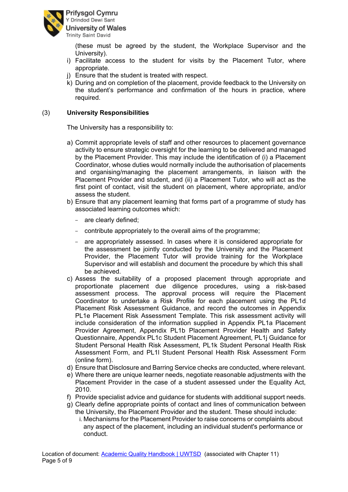

(these must be agreed by the student, the Workplace Supervisor and the University).

- i) Facilitate access to the student for visits by the Placement Tutor, where appropriate.
- j) Ensure that the student is treated with respect.
- k) During and on completion of the placement, provide feedback to the University on the student's performance and confirmation of the hours in practice, where required.

### (3) **University Responsibilities**

The University has a responsibility to:

- a) Commit appropriate levels of staff and other resources to placement governance activity to ensure strategic oversight for the learning to be delivered and managed by the Placement Provider. This may include the identification of (i) a Placement Coordinator, whose duties would normally include the authorisation of placements and organising/managing the placement arrangements, in liaison with the Placement Provider and student, and (ii) a Placement Tutor, who will act as the first point of contact, visit the student on placement, where appropriate, and/or assess the student.
- b) Ensure that any placement learning that forms part of a programme of study has associated learning outcomes which:
	- are clearly defined;
	- contribute appropriately to the overall aims of the programme;
	- are appropriately assessed. In cases where it is considered appropriate for the assessment be jointly conducted by the University and the Placement Provider, the Placement Tutor will provide training for the Workplace Supervisor and will establish and document the procedure by which this shall be achieved.
- c) Assess the suitability of a proposed placement through appropriate and proportionate placement due diligence procedures, using a risk-based assessment process. The approval process will require the Placement Coordinator to undertake a Risk Profile for each placement using the PL1d Placement Risk Assessment Guidance, and record the outcomes in Appendix PL1e Placement Risk Assessment Template. This risk assessment activity will include consideration of the information supplied in Appendix PL1a Placement Provider Agreement, Appendix PL1b Placement Provider Health and Safety Questionnaire, Appendix PL1c Student Placement Agreement, PL1j Guidance for Student Personal Health Risk Assessment, PL1k Student Personal Health Risk Assessment Form, and PL1l Student Personal Health Risk Assessment Form (online form).
- d) Ensure that Disclosure and Barring Service checks are conducted, where relevant.
- e) Where there are unique learner needs, negotiate reasonable adjustments with the Placement Provider in the case of a student assessed under the Equality Act, 2010.
- f) Provide specialist advice and guidance for students with additional support needs.
- g) Clearly define appropriate points of contact and lines of communication between the University, the Placement Provider and the student. These should include:
	- i. Mechanisms for the Placement Provider to raise concerns or complaints about any aspect of the placement, including an individual student's performance or conduct.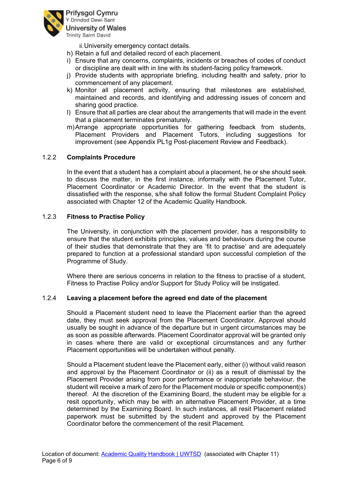

ii.University emergency contact details.

- h) Retain a full and detailed record of each placement.
- i) Ensure that any concerns, complaints, incidents or breaches of codes of conduct or discipline are dealt with in line with its student-facing policy framework.
- j) Provide students with appropriate briefing, including health and safety, prior to commencement of any placement.
- k) Monitor all placement activity, ensuring that milestones are established, maintained and records, and identifying and addressing issues of concern and sharing good practice.
- l) Ensure that all parties are clear about the arrangements that will made in the event that a placement terminates prematurely.
- m)Arrange appropriate opportunities for gathering feedback from students, Placement Providers and Placement Tutors, including suggestions for improvement (see Appendix PL1g Post-placement Review and Feedback).

#### <span id="page-6-0"></span>1.2.2 **Complaints Procedure**

In the event that a student has a complaint about a placement, he or she should seek to discuss the matter, in the first instance, informally with the Placement Tutor, Placement Coordinator or Academic Director. In the event that the student is dissatisfied with the response, s/he shall follow the formal Student Complaint Policy associated with Chapter 12 of the Academic Quality Handbook.

#### <span id="page-6-1"></span>1.2.3 **Fitness to Practise Policy**

The University, in conjunction with the placement provider, has a responsibility to ensure that the student exhibits principles, values and behaviours during the course of their studies that demonstrate that they are 'fit to practise' and are adequately prepared to function at a professional standard upon successful completion of the Programme of Study.

Where there are serious concerns in relation to the fitness to practise of a student, Fitness to Practise Policy and/or Support for Study Policy will be instigated.

#### <span id="page-6-2"></span>1.2.4 **Leaving a placement before the agreed end date of the placement**

Should a Placement student need to leave the Placement earlier than the agreed date, they must seek approval from the Placement Coordinator. Approval should usually be sought in advance of the departure but in urgent circumstances may be as soon as possible afterwards. Placement Coordinator approval will be granted only in cases where there are valid or exceptional circumstances and any further Placement opportunities will be undertaken without penalty.

Should a Placement student leave the Placement early, either (i) without valid reason and approval by the Placement Coordinator or (ii) as a result of dismissal by the Placement Provider arising from poor performance or inappropriate behaviour, the student will receive a mark of zero for the Placement module or specific component(s) thereof. At the discretion of the Examining Board, the student may be eligible for a resit opportunity, which may be with an alternative Placement Provider, at a time determined by the Examining Board. In such instances, all resit Placement related paperwork must be submitted by the student and approved by the Placement Coordinator before the commencement of the resit Placement.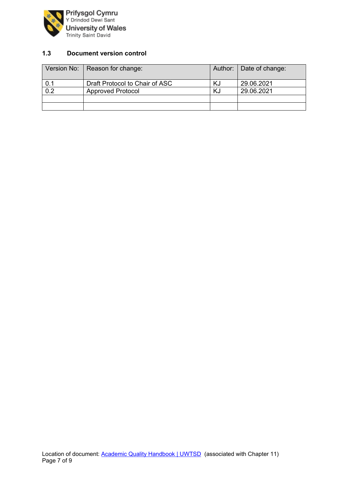

## <span id="page-7-0"></span>**1.3 Document version control**

|                  | Version No:   Reason for change: |    | Author:   Date of change: |
|------------------|----------------------------------|----|---------------------------|
| 0.1              | Draft Protocol to Chair of ASC   | ΚJ | 29.06.2021                |
| $\overline{0.2}$ | <b>Approved Protocol</b>         | KJ | 29.06.2021                |
|                  |                                  |    |                           |
|                  |                                  |    |                           |